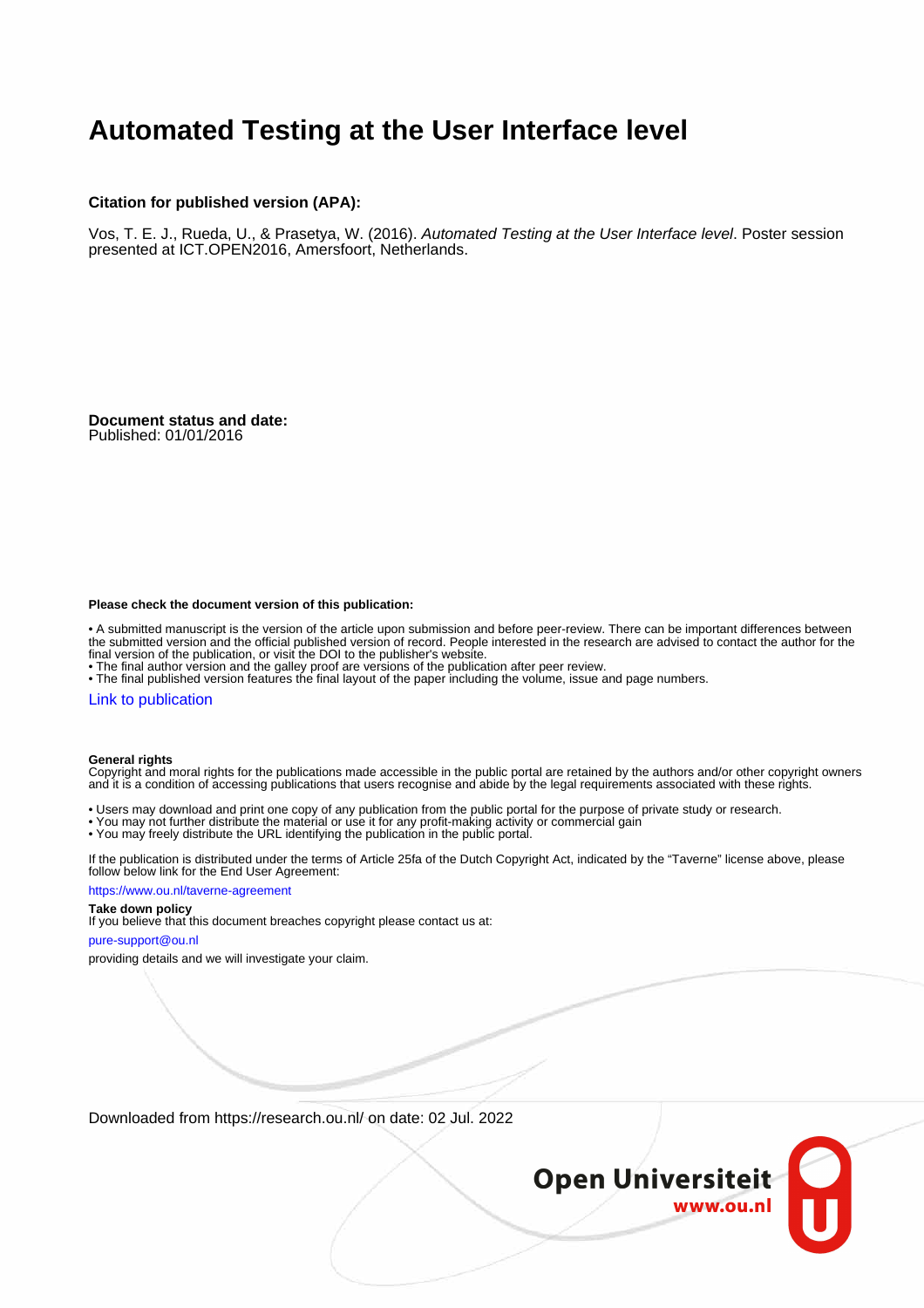## **Automated Testing at the User Interface level**

## **Citation for published version (APA):**

Vos, T. E. J., Rueda, U., & Prasetya, W. (2016). Automated Testing at the User Interface level. Poster session presented at ICT.OPEN2016, Amersfoort, Netherlands.

**Document status and date:** Published: 01/01/2016

### **Please check the document version of this publication:**

• A submitted manuscript is the version of the article upon submission and before peer-review. There can be important differences between the submitted version and the official published version of record. People interested in the research are advised to contact the author for the final version of the publication, or visit the DOI to the publisher's website.

• The final author version and the galley proof are versions of the publication after peer review.

• The final published version features the final layout of the paper including the volume, issue and page numbers.

### [Link to publication](https://research.ou.nl/en/publications/5403e97f-5e56-4cea-9247-026219b24344)

### **General rights**

Copyright and moral rights for the publications made accessible in the public portal are retained by the authors and/or other copyright owners and it is a condition of accessing publications that users recognise and abide by the legal requirements associated with these rights.

- Users may download and print one copy of any publication from the public portal for the purpose of private study or research.
- You may not further distribute the material or use it for any profit-making activity or commercial gain
- You may freely distribute the URL identifying the publication in the public portal.

If the publication is distributed under the terms of Article 25fa of the Dutch Copyright Act, indicated by the "Taverne" license above, please follow below link for the End User Agreement:

### https://www.ou.nl/taverne-agreement

## **Take down policy**

If you believe that this document breaches copyright please contact us at:

### pure-support@ou.nl

providing details and we will investigate your claim.

Downloaded from https://research.ou.nl/ on date: 02 Jul. 2022

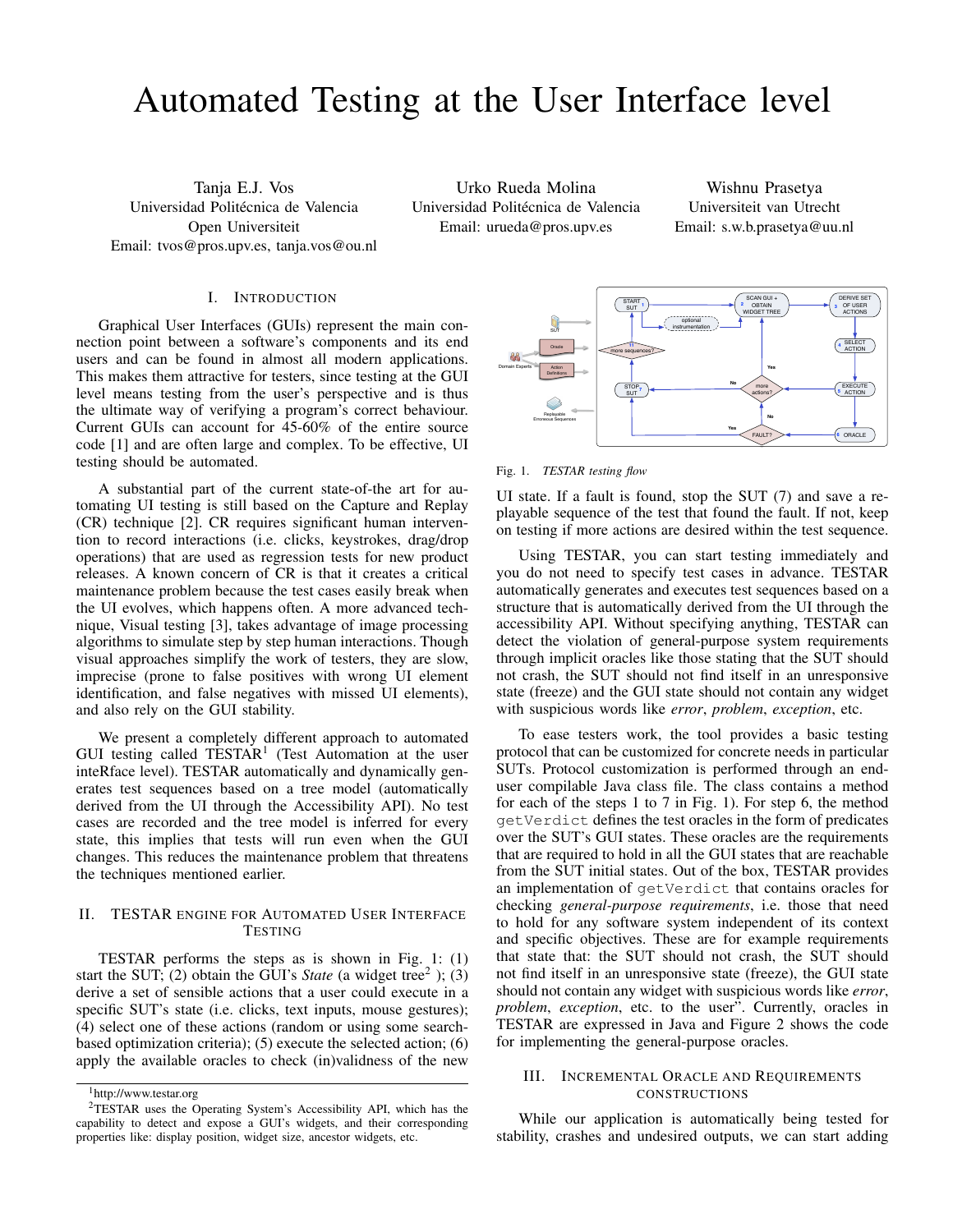# Automated Testing at the User Interface level

Tanja E.J. Vos Universidad Politécnica de Valencia Open Universiteit Email: tvos@pros.upv.es, tanja.vos@ou.nl

Urko Rueda Molina Universidad Politécnica de Valencia Email: urueda@pros.upv.es

Wishnu Prasetya Universiteit van Utrecht Email: s.w.b.prasetya@uu.nl

## I. INTRODUCTION

Graphical User Interfaces (GUIs) represent the main connection point between a software's components and its end users and can be found in almost all modern applications. This makes them attractive for testers, since testing at the GUI level means testing from the user's perspective and is thus the ultimate way of verifying a program's correct behaviour. Current GUIs can account for 45-60% of the entire source code [1] and are often large and complex. To be effective, UI testing should be automated.

A substantial part of the current state-of-the art for automating UI testing is still based on the Capture and Replay (CR) technique [2]. CR requires significant human intervention to record interactions (i.e. clicks, keystrokes, drag/drop operations) that are used as regression tests for new product releases. A known concern of CR is that it creates a critical maintenance problem because the test cases easily break when the UI evolves, which happens often. A more advanced technique, Visual testing [3], takes advantage of image processing algorithms to simulate step by step human interactions. Though visual approaches simplify the work of testers, they are slow, imprecise (prone to false positives with wrong UI element identification, and false negatives with missed UI elements), and also rely on the GUI stability.

We present a completely different approach to automated GUI testing called TESTAR<sup>1</sup> (Test Automation at the user inteRface level). TESTAR automatically and dynamically generates test sequences based on a tree model (automatically derived from the UI through the Accessibility API). No test cases are recorded and the tree model is inferred for every state, this implies that tests will run even when the GUI changes. This reduces the maintenance problem that threatens the techniques mentioned earlier.

## II. TESTAR ENGINE FOR AUTOMATED USER INTERFACE **TESTING**

TESTAR performs the steps as is shown in Fig. 1: (1) start the SUT; (2) obtain the GUI's *State* (a widget tree<sup>2</sup>); (3) derive a set of sensible actions that a user could execute in a specific SUT's state (i.e. clicks, text inputs, mouse gestures); (4) select one of these actions (random or using some searchbased optimization criteria); (5) execute the selected action; (6) apply the available oracles to check (in)validness of the new



Fig. 1. *TESTAR testing flow*

UI state. If a fault is found, stop the SUT (7) and save a replayable sequence of the test that found the fault. If not, keep on testing if more actions are desired within the test sequence.

Using TESTAR, you can start testing immediately and you do not need to specify test cases in advance. TESTAR automatically generates and executes test sequences based on a structure that is automatically derived from the UI through the accessibility API. Without specifying anything, TESTAR can detect the violation of general-purpose system requirements through implicit oracles like those stating that the SUT should not crash, the SUT should not find itself in an unresponsive state (freeze) and the GUI state should not contain any widget with suspicious words like *error*, *problem*, *exception*, etc.

To ease testers work, the tool provides a basic testing protocol that can be customized for concrete needs in particular SUTs. Protocol customization is performed through an enduser compilable Java class file. The class contains a method for each of the steps 1 to 7 in Fig. 1). For step 6, the method getVerdict defines the test oracles in the form of predicates over the SUT's GUI states. These oracles are the requirements that are required to hold in all the GUI states that are reachable from the SUT initial states. Out of the box, TESTAR provides an implementation of getVerdict that contains oracles for checking *general-purpose requirements*, i.e. those that need to hold for any software system independent of its context and specific objectives. These are for example requirements that state that: the SUT should not crash, the SUT should not find itself in an unresponsive state (freeze), the GUI state should not contain any widget with suspicious words like *error*, *problem*, *exception*, etc. to the user". Currently, oracles in TESTAR are expressed in Java and Figure 2 shows the code for implementing the general-purpose oracles.

### III. INCREMENTAL ORACLE AND REQUIREMENTS **CONSTRUCTIONS**

While our application is automatically being tested for stability, crashes and undesired outputs, we can start adding

<sup>1</sup>http://www.testar.org

<sup>2</sup>TESTAR uses the Operating System's Accessibility API, which has the capability to detect and expose a GUI's widgets, and their corresponding properties like: display position, widget size, ancestor widgets, etc.